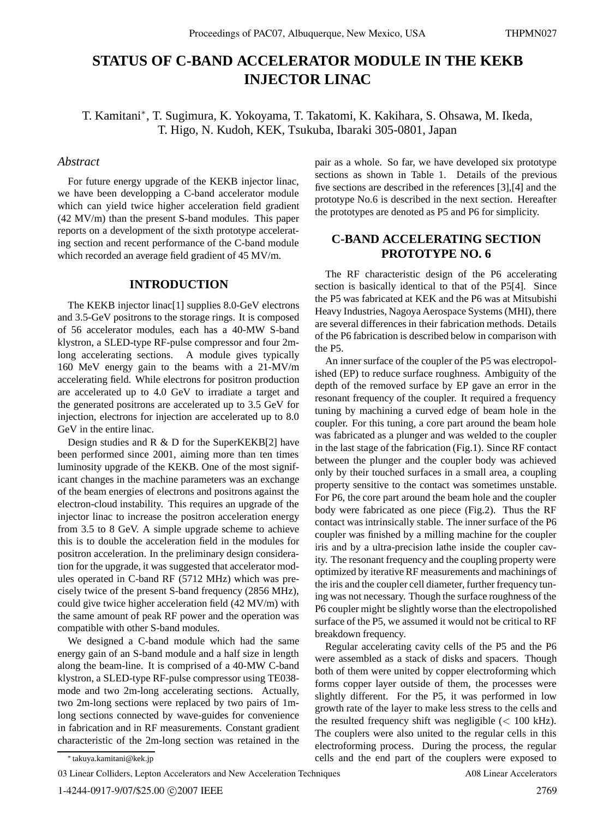# **STATUS OF C-BAND ACCELERATOR MODULE IN THE KEKB INJECTOR LINAC**

T. Kamitani∗, T. Sugimura, K. Yokoyama, T. Takatomi, K. Kakihara, S. Ohsawa, M. Ikeda, T. Higo, N. Kudoh, KEK, Tsukuba, Ibaraki 305-0801, Japan

## *Abstract*

For future energy upgrade of the KEKB injector linac, we have been developping a C-band accelerator module which can yield twice higher acceleration field gradient (42 MV/m) than the present S-band modules. This paper reports on a development of the sixth prototype accelerating section and recent performance of the C-band module which recorded an average field gradient of 45 MV/m.

### **INTRODUCTION**

The KEKB injector linac[1] supplies 8.0-GeV electrons and 3.5-GeV positrons to the storage rings. It is composed of 56 accelerator modules, each has a 40-MW S-band klystron, a SLED-type RF-pulse compressor and four 2mlong accelerating sections. A module gives typically 160 MeV energy gain to the beams with a 21-MV/m accelerating field. While electrons for positron production are accelerated up to 4.0 GeV to irradiate a target and the generated positrons are accelerated up to 3.5 GeV for injection, electrons for injection are accelerated up to 8.0 GeV in the entire linac.

Design studies and R & D for the SuperKEKB[2] have been performed since 2001, aiming more than ten times luminosity upgrade of the KEKB. One of the most significant changes in the machine parameters was an exchange of the beam energies of electrons and positrons against the electron-cloud instability. This requires an upgrade of the injector linac to increase the positron acceleration energy from 3.5 to 8 GeV. A simple upgrade scheme to achieve this is to double the acceleration field in the modules for positron acceleration. In the preliminary design consideration for the upgrade, it was suggested that accelerator modules operated in C-band RF (5712 MHz) which was precisely twice of the present S-band frequency (2856 MHz), could give twice higher acceleration field (42 MV/m) with the same amount of peak RF power and the operation was compatible with other S-band modules.

We designed a C-band module which had the same energy gain of an S-band module and a half size in length along the beam-line. It is comprised of a 40-MW C-band klystron, a SLED-type RF-pulse compressor using TE038 mode and two 2m-long accelerating sections. Actually, two 2m-long sections were replaced by two pairs of 1mlong sections connected by wave-guides for convenience in fabrication and in RF measurements. Constant gradient characteristic of the 2m-long section was retained in the pair as a whole. So far, we have developed six prototype sections as shown in Table 1. Details of the previous five sections are described in the references [3],[4] and the prototype No.6 is described in the next section. Hereafter the prototypes are denoted as P5 and P6 for simplicity.

# **C-BAND ACCELERATING SECTION PROTOTYPE NO. 6**

The RF characteristic design of the P6 accelerating section is basically identical to that of the P5[4]. Since the P5 was fabricated at KEK and the P6 was at Mitsubishi Heavy Industries, Nagoya Aerospace Systems (MHI), there are several differences in their fabrication methods. Details of the P6 fabrication is described below in comparison with the P5.

An inner surface of the coupler of the P5 was electropolished (EP) to reduce surface roughness. Ambiguity of the depth of the removed surface by EP gave an error in the resonant frequency of the coupler. It required a frequency tuning by machining a curved edge of beam hole in the coupler. For this tuning, a core part around the beam hole was fabricated as a plunger and was welded to the coupler in the last stage of the fabrication (Fig.1). Since RF contact between the plunger and the coupler body was achieved only by their touched surfaces in a small area, a coupling property sensitive to the contact was sometimes unstable. For P6, the core part around the beam hole and the coupler body were fabricated as one piece (Fig.2). Thus the RF contact was intrinsically stable. The inner surface of the P6 coupler was finished by a milling machine for the coupler iris and by a ultra-precision lathe inside the coupler cavity. The resonant frequency and the coupling property were optimized by iterative RF measurements and machinings of the iris and the coupler cell diameter, further frequency tuning was not necessary. Though the surface roughness of the P6 coupler might be slightly worse than the electropolished surface of the P5, we assumed it would not be critical to RF breakdown frequency.

Regular accelerating cavity cells of the P5 and the P6 were assembled as a stack of disks and spacers. Though both of them were united by copper electroforming which forms copper layer outside of them, the processes were slightly different. For the P5, it was performed in low growth rate of the layer to make less stress to the cells and the resulted frequency shift was negligible (*<* 100 kHz). The couplers were also united to the regular cells in this electroforming process. During the process, the regular cells and the end part of the couplers were exposed to

A08 Linear Accelerators

<sup>∗</sup> takuya.kamitani@kek.jp

<sup>03</sup> Linear Colliders, Lepton Accelerators and New Acceleration Techniques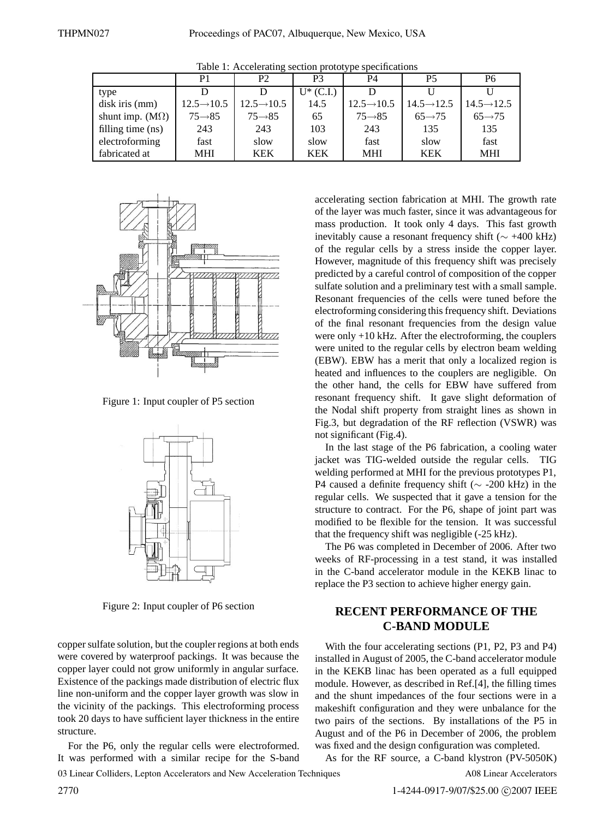| . .                    |                         |                         |             |                         |                         |                         |
|------------------------|-------------------------|-------------------------|-------------|-------------------------|-------------------------|-------------------------|
|                        | P1                      | P <sub>2</sub>          | P3          | P4                      | P5                      | Р6                      |
| type                   |                         |                         | $U^*(C.I.)$ |                         |                         |                         |
| disk iris (mm)         | $12.5 \rightarrow 10.5$ | $12.5 \rightarrow 10.5$ | 14.5        | $12.5 \rightarrow 10.5$ | $14.5 \rightarrow 12.5$ | $14.5 \rightarrow 12.5$ |
| shunt imp. $(M\Omega)$ | $75 \rightarrow 85$     | $75 \rightarrow 85$     | 65          | $75 \rightarrow 85$     | $65 \rightarrow 75$     | $65 \rightarrow 75$     |
| filling time (ns)      | 243                     | 243                     | 103         | 243                     | 135                     | 135                     |
| electroforming         | fast                    | slow                    | slow        | fast                    | slow                    | fast                    |
| fabricated at          | MHI                     | <b>KEK</b>              | <b>KEK</b>  | <b>MHI</b>              | <b>KEK</b>              | <b>MHI</b>              |

Table 1: Accelerating section prototype specifications



Figure 1: Input coupler of P5 section



Figure 2: Input coupler of P6 section

copper sulfate solution, but the coupler regions at both ends were covered by waterproof packings. It was because the copper layer could not grow uniformly in angular surface. Existence of the packings made distribution of electric flux line non-uniform and the copper layer growth was slow in the vicinity of the packings. This electroforming process took 20 days to have sufficient layer thickness in the entire structure.

For the P6, only the regular cells were electroformed. It was performed with a similar recipe for the S-band

of the layer was much faster, since it was advantageous for mass production. It took only 4 days. This fast growth inevitably cause a resonant frequency shift ( $\sim$  +400 kHz) of the regular cells by a stress inside the copper layer. However, magnitude of this frequency shift was precisely predicted by a careful control of composition of the copper sulfate solution and a preliminary test with a small sample. Resonant frequencies of the cells were tuned before the electroforming considering this frequency shift. Deviations of the final resonant frequencies from the design value were only +10 kHz. After the electroforming, the couplers were united to the regular cells by electron beam welding (EBW). EBW has a merit that only a localized region is heated and influences to the couplers are negligible. On the other hand, the cells for EBW have suffered from resonant frequency shift. It gave slight deformation of the Nodal shift property from straight lines as shown in Fig.3, but degradation of the RF reflection (VSWR) was not significant (Fig.4). In the last stage of the P6 fabrication, a cooling water

accelerating section fabrication at MHI. The growth rate

jacket was TIG-welded outside the regular cells. TIG welding performed at MHI for the previous prototypes P1, P4 caused a definite frequency shift ( $\sim$  -200 kHz) in the regular cells. We suspected that it gave a tension for the structure to contract. For the P6, shape of joint part was modified to be flexible for the tension. It was successful that the frequency shift was negligible (-25 kHz).

The P6 was completed in December of 2006. After two weeks of RF-processing in a test stand, it was installed in the C-band accelerator module in the KEKB linac to replace the P3 section to achieve higher energy gain.

# **RECENT PERFORMANCE OF THE C-BAND MODULE**

With the four accelerating sections (P1, P2, P3 and P4) installed in August of 2005, the C-band accelerator module in the KEKB linac has been operated as a full equipped module. However, as described in Ref.[4], the filling times and the shunt impedances of the four sections were in a makeshift configuration and they were unbalance for the two pairs of the sections. By installations of the P5 in August and of the P6 in December of 2006, the problem was fixed and the design configuration was completed.

As for the RF source, a C-band klystron (PV-5050K) A08 Linear Accelerators

03 Linear Colliders, Lepton Accelerators and New Acceleration Techniques